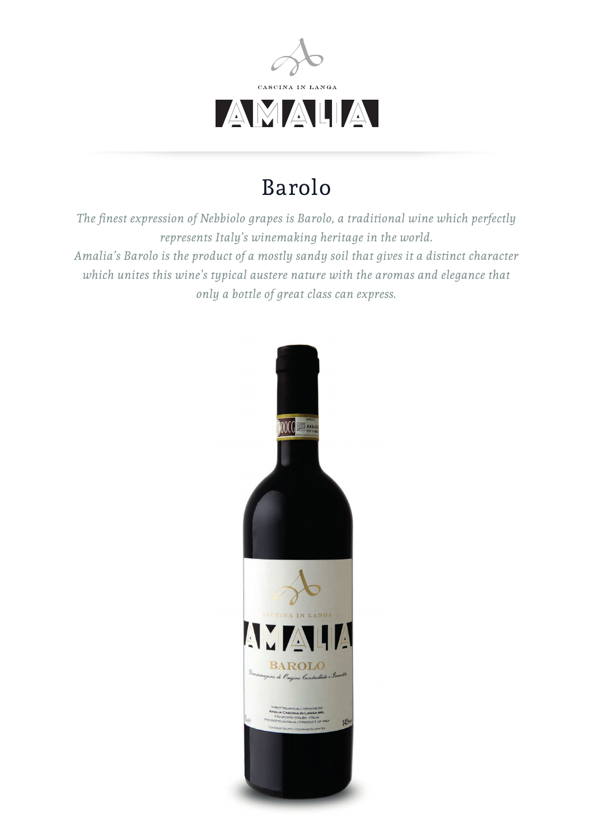

## Barolo

*The finest expression of Nebbiolo grapes is Barolo, a traditional wine which perfectly represents Italy's winemaking heritage in the world. Amalia's Barolo is the product of a mostly sandy soil that gives it a distinct character which unites this wine's typical austere nature with the aromas and elegance that only a bottle of great class can express.*